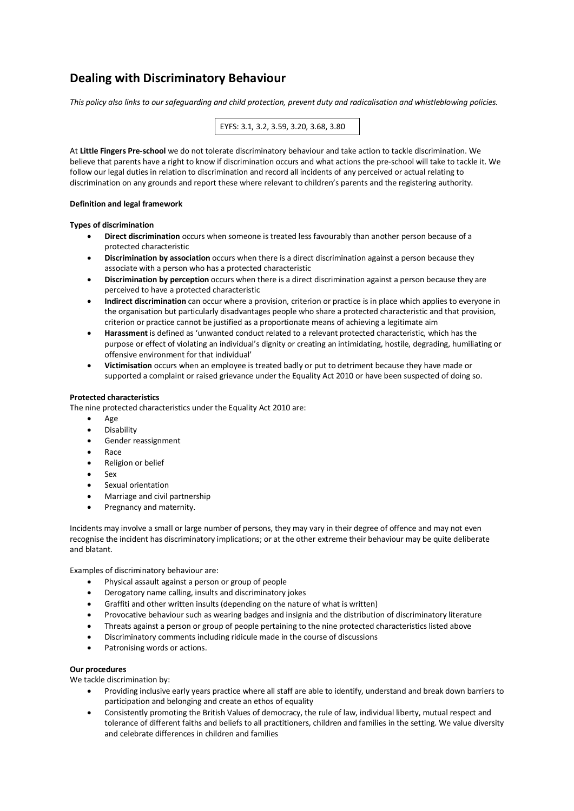# **Dealing with Discriminatory Behaviour**

*This policy also links to our safeguarding and child protection, prevent duty and radicalisation and whistleblowing policies.*



At **Little Fingers Pre-school** we do not tolerate discriminatory behaviour and take action to tackle discrimination. We believe that parents have a right to know if discrimination occurs and what actions the pre-school will take to tackle it. We follow our legal duties in relation to discrimination and record all incidents of any perceived or actual relating to discrimination on any grounds and report these where relevant to children's parents and the registering authority.

## **Definition and legal framework**

#### **Types of discrimination**

- **Direct discrimination** occurs when someone is treated less favourably than another person because of a protected characteristic
- **Discrimination by association** occurs when there is a direct discrimination against a person because they associate with a person who has a protected characteristic
- **Discrimination by perception** occurs when there is a direct discrimination against a person because they are perceived to have a protected characteristic
- **Indirect discrimination** can occur where a provision, criterion or practice is in place which applies to everyone in the organisation but particularly disadvantages people who share a protected characteristic and that provision, criterion or practice cannot be justified as a proportionate means of achieving a legitimate aim
- **Harassment** is defined as 'unwanted conduct related to a relevant protected characteristic, which has the purpose or effect of violating an individual's dignity or creating an intimidating, hostile, degrading, humiliating or offensive environment for that individual'
- **Victimisation** occurs when an employee is treated badly or put to detriment because they have made or supported a complaint or raised grievance under the Equality Act 2010 or have been suspected of doing so.

#### **Protected characteristics**

The nine protected characteristics under the Equality Act 2010 are:

- Age
- **Disability**
- Gender reassignment
- Race
- Religion or belief
- Sex
- Sexual orientation
- Marriage and civil partnership
- Pregnancy and maternity.

Incidents may involve a small or large number of persons, they may vary in their degree of offence and may not even recognise the incident has discriminatory implications; or at the other extreme their behaviour may be quite deliberate and blatant.

Examples of discriminatory behaviour are:

- Physical assault against a person or group of people
- Derogatory name calling, insults and discriminatory jokes
- Graffiti and other written insults (depending on the nature of what is written)
- Provocative behaviour such as wearing badges and insignia and the distribution of discriminatory literature
- Threats against a person or group of people pertaining to the nine protected characteristics listed above
- Discriminatory comments including ridicule made in the course of discussions
- Patronising words or actions.

### **Our procedures**

We tackle discrimination by:

- Providing inclusive early years practice where all staff are able to identify, understand and break down barriers to participation and belonging and create an ethos of equality
- Consistently promoting the British Values of democracy, the rule of law, individual liberty, mutual respect and tolerance of different faiths and beliefs to all practitioners, children and families in the setting. We value diversity and celebrate differences in children and families